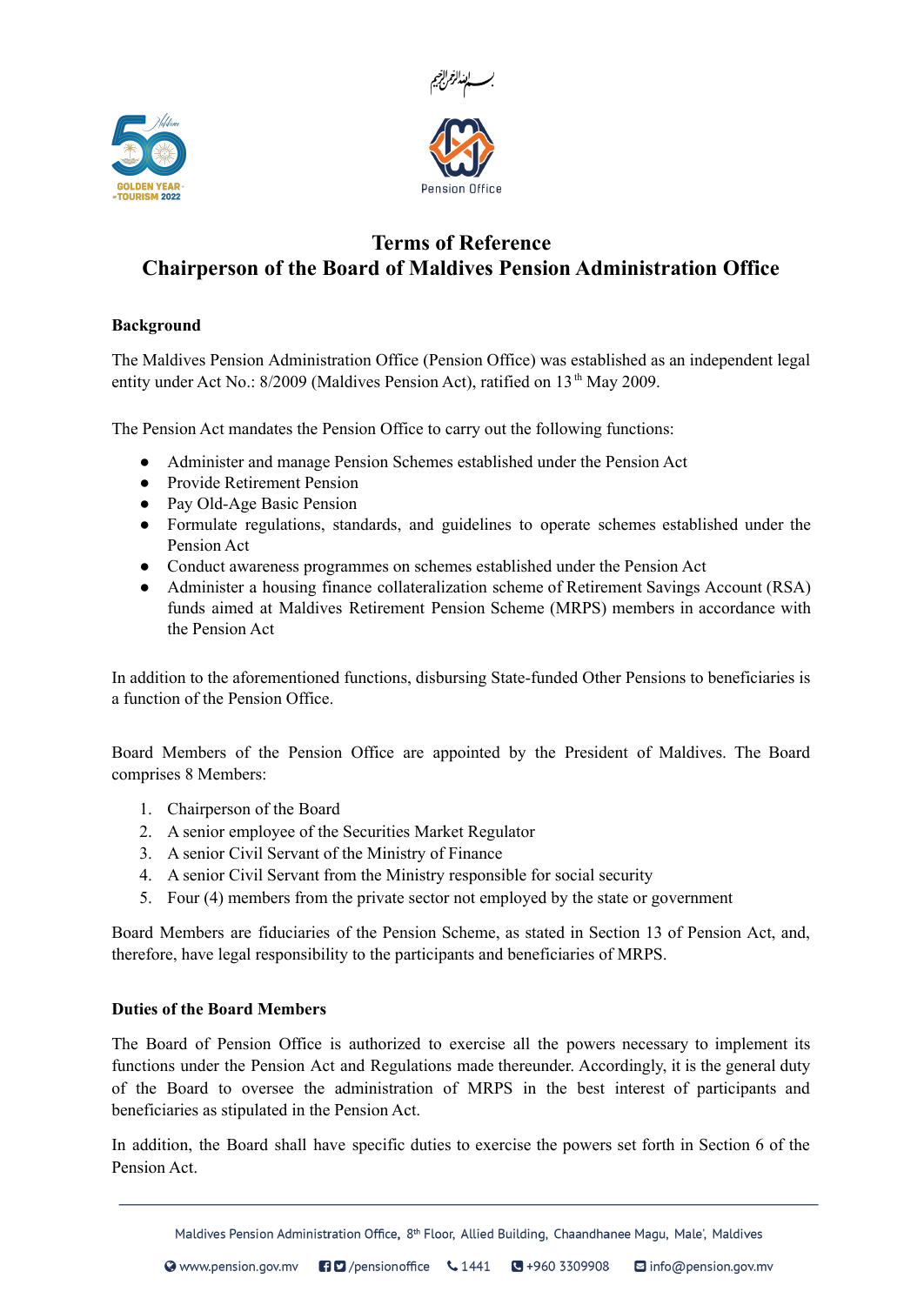



# **Terms of Reference Chairperson of the Board of Maldives Pension Administration Office**

# **Background**

The Maldives Pension Administration Office (Pension Office) was established as an independent legal entity under Act No.: 8/2009 (Maldives Pension Act), ratified on 13<sup>th</sup> May 2009.

The Pension Act mandates the Pension Office to carry out the following functions:

- Administer and manage Pension Schemes established under the Pension Act
- Provide Retirement Pension
- Pay Old-Age Basic Pension
- Formulate regulations, standards, and guidelines to operate schemes established under the Pension Act
- Conduct awareness programmes on schemes established under the Pension Act
- Administer a housing finance collateralization scheme of Retirement Savings Account (RSA) funds aimed at Maldives Retirement Pension Scheme (MRPS) members in accordance with the Pension Act

In addition to the aforementioned functions, disbursing State-funded Other Pensions to beneficiaries is a function of the Pension Office.

Board Members of the Pension Office are appointed by the President of Maldives. The Board comprises 8 Members:

- 1. Chairperson of the Board
- 2. A senior employee of the Securities Market Regulator
- 3. A senior Civil Servant of the Ministry of Finance
- 4. A senior Civil Servant from the Ministry responsible for social security
- 5. Four (4) members from the private sector not employed by the state or government

Board Members are fiduciaries of the Pension Scheme, as stated in Section 13 of Pension Act, and, therefore, have legal responsibility to the participants and beneficiaries of MRPS.

# **Duties of the Board Members**

The Board of Pension Office is authorized to exercise all the powers necessary to implement its functions under the Pension Act and Regulations made thereunder. Accordingly, it is the general duty of the Board to oversee the administration of MRPS in the best interest of participants and beneficiaries as stipulated in the Pension Act.

In addition, the Board shall have specific duties to exercise the powers set forth in Section 6 of the Pension Act.

Maldives Pension Administration Office, 8<sup>th</sup> Floor, Allied Building, Chaandhanee Magu, Male', Maldives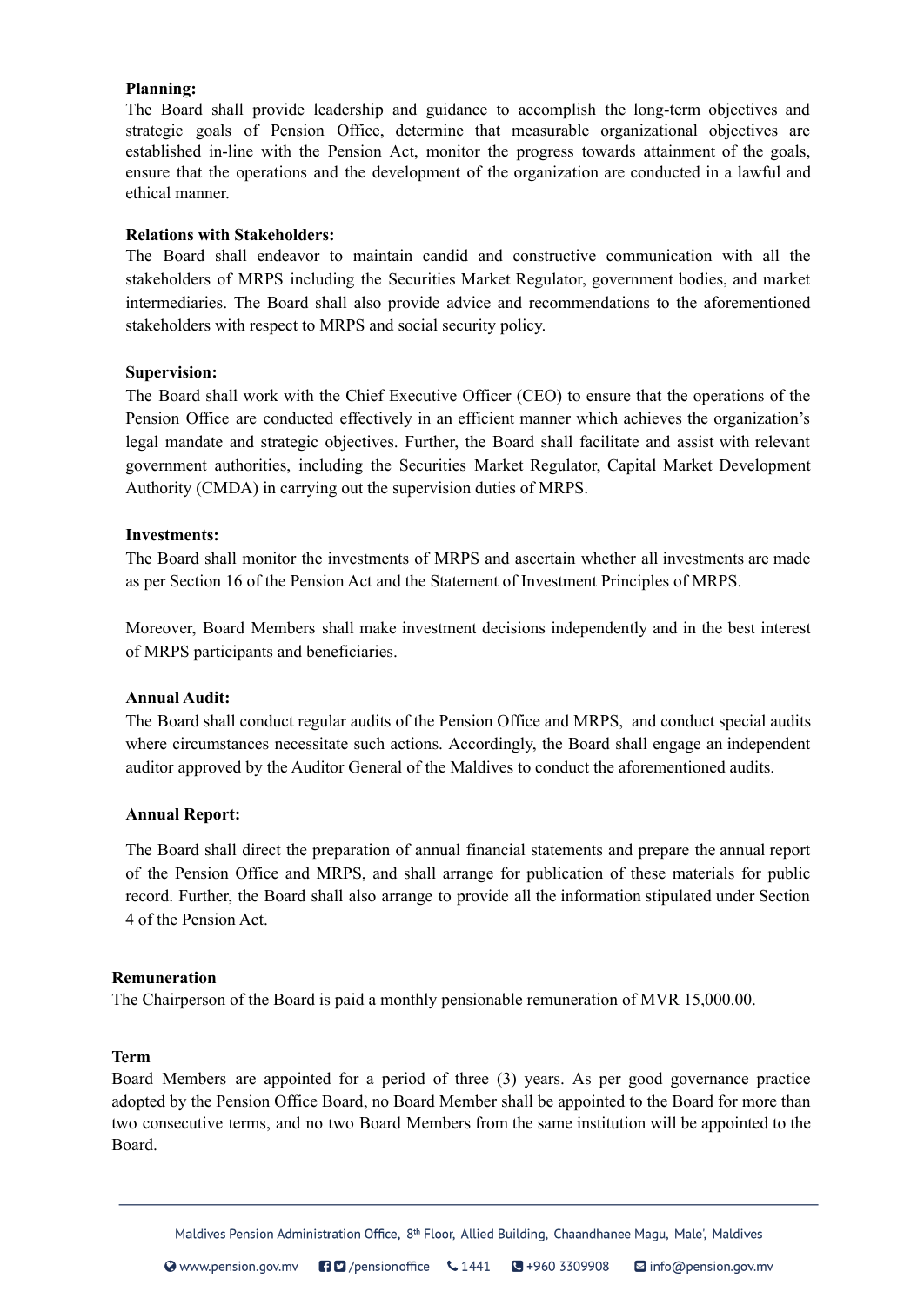### **Planning:**

The Board shall provide leadership and guidance to accomplish the long-term objectives and strategic goals of Pension Office, determine that measurable organizational objectives are established in-line with the Pension Act, monitor the progress towards attainment of the goals, ensure that the operations and the development of the organization are conducted in a lawful and ethical manner.

# **Relations with Stakeholders:**

The Board shall endeavor to maintain candid and constructive communication with all the stakeholders of MRPS including the Securities Market Regulator, government bodies, and market intermediaries. The Board shall also provide advice and recommendations to the aforementioned stakeholders with respect to MRPS and social security policy.

#### **Supervision:**

The Board shall work with the Chief Executive Officer (CEO) to ensure that the operations of the Pension Office are conducted effectively in an efficient manner which achieves the organization's legal mandate and strategic objectives. Further, the Board shall facilitate and assist with relevant government authorities, including the Securities Market Regulator, Capital Market Development Authority (CMDA) in carrying out the supervision duties of MRPS.

### **Investments:**

The Board shall monitor the investments of MRPS and ascertain whether all investments are made as per Section 16 of the Pension Act and the Statement of Investment Principles of MRPS.

Moreover, Board Members shall make investment decisions independently and in the best interest of MRPS participants and beneficiaries.

#### **Annual Audit:**

The Board shall conduct regular audits of the Pension Office and MRPS, and conduct special audits where circumstances necessitate such actions. Accordingly, the Board shall engage an independent auditor approved by the Auditor General of the Maldives to conduct the aforementioned audits.

#### **Annual Report:**

The Board shall direct the preparation of annual financial statements and prepare the annual report of the Pension Office and MRPS, and shall arrange for publication of these materials for public record. Further, the Board shall also arrange to provide all the information stipulated under Section 4 of the Pension Act.

#### **Remuneration**

The Chairperson of the Board is paid a monthly pensionable remuneration of MVR 15,000.00.

#### **Term**

Board Members are appointed for a period of three (3) years. As per good governance practice adopted by the Pension Office Board, no Board Member shall be appointed to the Board for more than two consecutive terms, and no two Board Members from the same institution will be appointed to the Board.

Maldives Pension Administration Office, 8<sup>th</sup> Floor, Allied Building, Chaandhanee Magu, Male', Maldives